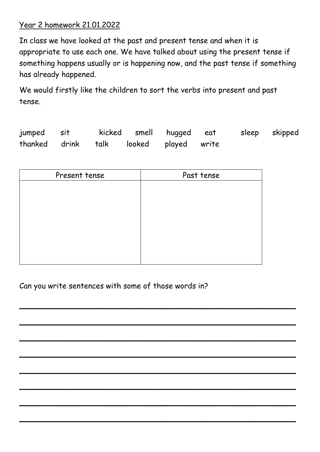## Year 2 homework 21.01.2022

In class we have looked at the past and present tense and when it is appropriate to use each one. We have talked about using the present tense if something happens usually or is happening now, and the past tense if something has already happened.

We would firstly like the children to sort the verbs into present and past tense.

| jumped sit                             |  | kicked smell hugged eat |  | sleep skipped |
|----------------------------------------|--|-------------------------|--|---------------|
| thanked drink talk looked played write |  |                         |  |               |

| Present tense | Past tense |
|---------------|------------|
|               |            |
|               |            |
|               |            |
|               |            |
|               |            |
|               |            |
|               |            |
|               |            |

 $-$  . The set of the set of the set of the set of the set of the set of the set of the set of the set of the set of the set

 $\overline{\phantom{a}}$  , and the contract of the contract of the contract of the contract of the contract of the contract of the contract of the contract of the contract of the contract of the contract of the contract of the contrac

 $\overline{\phantom{a}}$  , and the contract of the contract of the contract of the contract of the contract of the contract of the contract of the contract of the contract of the contract of the contract of the contract of the contrac

 $\overline{\phantom{a}}$  , and the set of the set of the set of the set of the set of the set of the set of the set of the set of the set

 $-$  . The set of the set of the set of the set of the set of the set of the set of the set of the set of the set of the set

 $-$  . The set of the set of the set of the set of the set of the set of the set of the set of the set of the set of the

 $\overline{\phantom{a}}$  , and the set of the set of the set of the set of the set of the set of the set of the set of the set of the set

\_\_\_\_\_\_\_\_\_\_\_\_\_\_\_\_\_\_\_\_\_\_\_\_\_\_\_\_\_\_\_\_\_\_\_\_\_\_\_\_\_

Can you write sentences with some of those words in?